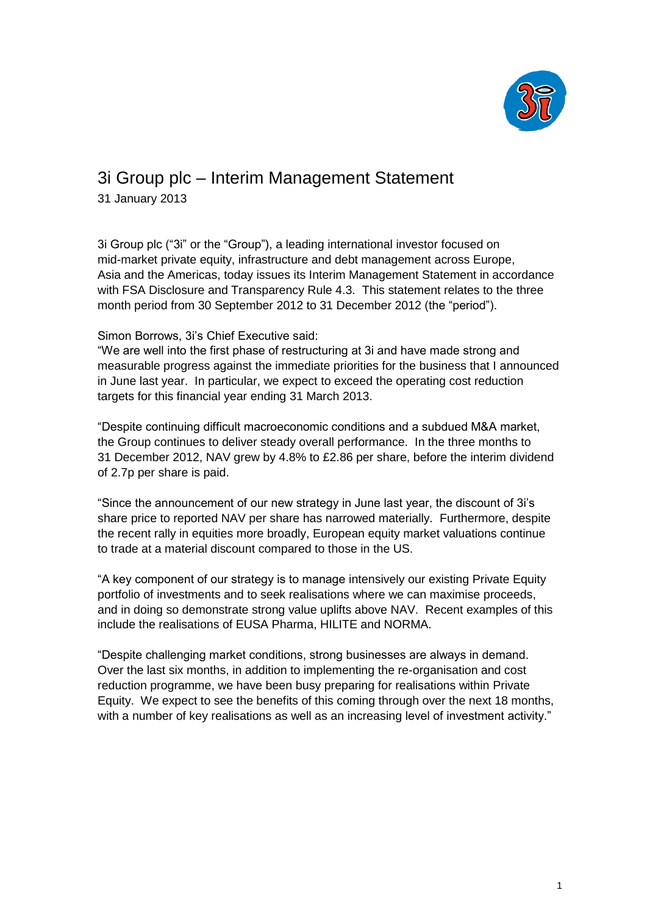

# 3i Group plc – Interim Management Statement

31 January 2013

3i Group plc ("3i" or the "Group"), a leading international investor focused on mid-market private equity, infrastructure and debt management across Europe, Asia and the Americas, today issues its Interim Management Statement in accordance with FSA Disclosure and Transparency Rule 4.3. This statement relates to the three month period from 30 September 2012 to 31 December 2012 (the "period").

# Simon Borrows, 3i's Chief Executive said:

"We are well into the first phase of restructuring at 3i and have made strong and measurable progress against the immediate priorities for the business that I announced in June last year. In particular, we expect to exceed the operating cost reduction targets for this financial year ending 31 March 2013.

"Despite continuing difficult macroeconomic conditions and a subdued M&A market, the Group continues to deliver steady overall performance. In the three months to 31 December 2012, NAV grew by 4.8% to £2.86 per share, before the interim dividend of 2.7p per share is paid.

"Since the announcement of our new strategy in June last year, the discount of 3i's share price to reported NAV per share has narrowed materially. Furthermore, despite the recent rally in equities more broadly, European equity market valuations continue to trade at a material discount compared to those in the US.

"A key component of our strategy is to manage intensively our existing Private Equity portfolio of investments and to seek realisations where we can maximise proceeds, and in doing so demonstrate strong value uplifts above NAV. Recent examples of this include the realisations of EUSA Pharma, HILITE and NORMA.

"Despite challenging market conditions, strong businesses are always in demand. Over the last six months, in addition to implementing the re-organisation and cost reduction programme, we have been busy preparing for realisations within Private Equity. We expect to see the benefits of this coming through over the next 18 months, with a number of key realisations as well as an increasing level of investment activity."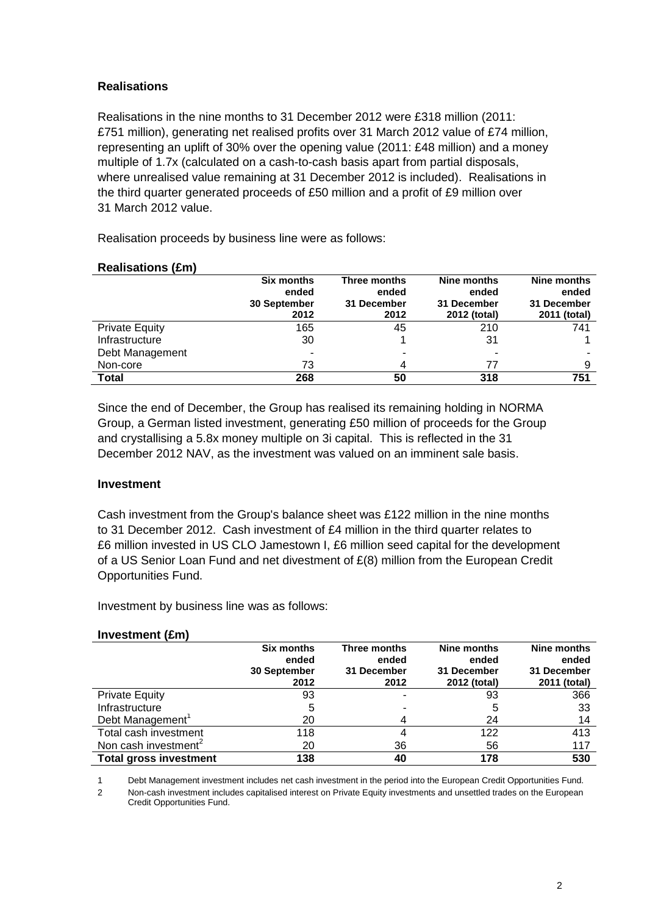# **Realisations**

Realisations in the nine months to 31 December 2012 were £318 million (2011: £751 million), generating net realised profits over 31 March 2012 value of £74 million, representing an uplift of 30% over the opening value (2011: £48 million) and a money multiple of 1.7x (calculated on a cash-to-cash basis apart from partial disposals, where unrealised value remaining at 31 December 2012 is included). Realisations in the third quarter generated proceeds of £50 million and a profit of £9 million over 31 March 2012 value.

Realisation proceeds by business line were as follows:

#### **Realisations (£m)**

|                       | <b>Six months</b><br>ended<br>30 September<br>2012 | Three months<br>ended<br>31 December<br>2012 | Nine months<br>ended<br>31 December<br>2012 (total) | Nine months<br>ended<br>31 December<br>2011 (total) |
|-----------------------|----------------------------------------------------|----------------------------------------------|-----------------------------------------------------|-----------------------------------------------------|
| <b>Private Equity</b> | 165                                                | 45                                           | 210                                                 | 741                                                 |
| Infrastructure        | 30                                                 |                                              | 31                                                  |                                                     |
| Debt Management       | $\overline{\phantom{0}}$                           | ۰                                            |                                                     |                                                     |
| Non-core              | 73                                                 | 4                                            | 77                                                  | 9                                                   |
| Total                 | 268                                                | 50                                           | 318                                                 | 751                                                 |

Since the end of December, the Group has realised its remaining holding in NORMA Group, a German listed investment, generating £50 million of proceeds for the Group and crystallising a 5.8x money multiple on 3i capital. This is reflected in the 31 December 2012 NAV, as the investment was valued on an imminent sale basis.

# **Investment**

Cash investment from the Group's balance sheet was £122 million in the nine months to 31 December 2012. Cash investment of £4 million in the third quarter relates to £6 million invested in US CLO Jamestown I, £6 million seed capital for the development of a US Senior Loan Fund and net divestment of £(8) million from the European Credit Opportunities Fund.

Investment by business line was as follows:

# **Investment (£m)**

|                                  | <b>Six months</b><br>ended | Three months<br>ended | Nine months<br>ended        | Nine months<br>ended        |
|----------------------------------|----------------------------|-----------------------|-----------------------------|-----------------------------|
|                                  | 30 September<br>2012       | 31 December<br>2012   | 31 December<br>2012 (total) | 31 December<br>2011 (total) |
| <b>Private Equity</b>            | 93                         |                       | 93                          | 366                         |
| Infrastructure                   | 5                          |                       | 5                           | 33                          |
| Debt Management                  | 20                         |                       | 24                          | 14                          |
| Total cash investment            | 118                        |                       | 122                         | 413                         |
| Non cash investment <sup>2</sup> | 20                         | 36                    | 56                          | 117                         |
| <b>Total gross investment</b>    | 138                        | 40                    | 178                         | 530                         |

1 Debt Management investment includes net cash investment in the period into the European Credit Opportunities Fund.

2 Non-cash investment includes capitalised interest on Private Equity investments and unsettled trades on the European Credit Opportunities Fund.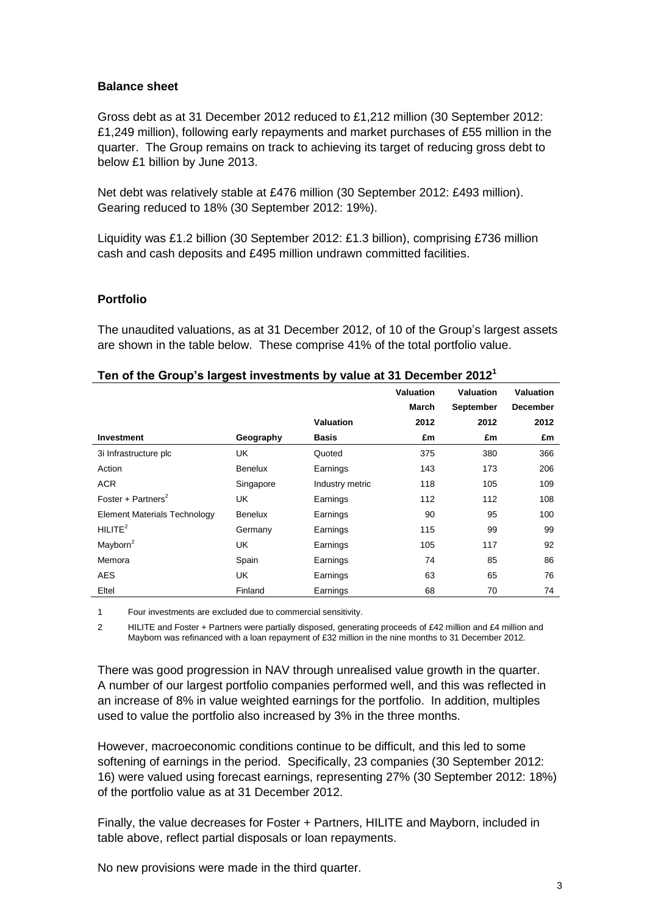#### **Balance sheet**

Gross debt as at 31 December 2012 reduced to £1,212 million (30 September 2012: £1,249 million), following early repayments and market purchases of £55 million in the quarter. The Group remains on track to achieving its target of reducing gross debt to below £1 billion by June 2013.

Net debt was relatively stable at £476 million (30 September 2012: £493 million). Gearing reduced to 18% (30 September 2012: 19%).

Liquidity was £1.2 billion (30 September 2012: £1.3 billion), comprising £736 million cash and cash deposits and £495 million undrawn committed facilities.

#### **Portfolio**

The unaudited valuations, as at 31 December 2012, of 10 of the Group's largest assets are shown in the table below. These comprise 41% of the total portfolio value.

|                                     |                |                 | <b>Valuation</b> | <b>Valuation</b> | <b>Valuation</b> |
|-------------------------------------|----------------|-----------------|------------------|------------------|------------------|
|                                     |                |                 | <b>March</b>     | <b>September</b> | <b>December</b>  |
|                                     |                | Valuation       | 2012             | 2012             | 2012             |
| <b>Investment</b>                   | Geography      | <b>Basis</b>    | £m               | £m               | £m               |
| 3i Infrastructure plc               | UK             | Quoted          | 375              | 380              | 366              |
| Action                              | Benelux        | Earnings        | 143              | 173              | 206              |
| <b>ACR</b>                          | Singapore      | Industry metric | 118              | 105              | 109              |
| Foster + Partners <sup>2</sup>      | UK             | Earnings        | 112              | 112              | 108              |
| <b>Element Materials Technology</b> | <b>Benelux</b> | Earnings        | 90               | 95               | 100              |
| HILITE <sup>2</sup>                 | Germany        | Earnings        | 115              | 99               | 99               |
| Mayborn <sup>2</sup>                | UK             | Earnings        | 105              | 117              | 92               |
| Memora                              | Spain          | Earnings        | 74               | 85               | 86               |
| <b>AES</b>                          | <b>UK</b>      | Earnings        | 63               | 65               | 76               |
| Eltel                               | Finland        | Earnings        | 68               | 70               | 74               |

#### **Ten of the Group's largest investments by value at 31 December 2012<sup>1</sup>**

1 Four investments are excluded due to commercial sensitivity.

2 HILITE and Foster + Partners were partially disposed, generating proceeds of £42 million and £4 million and Mayborn was refinanced with a loan repayment of £32 million in the nine months to 31 December 2012.

There was good progression in NAV through unrealised value growth in the quarter. A number of our largest portfolio companies performed well, and this was reflected in an increase of 8% in value weighted earnings for the portfolio. In addition, multiples used to value the portfolio also increased by 3% in the three months.

However, macroeconomic conditions continue to be difficult, and this led to some softening of earnings in the period. Specifically, 23 companies (30 September 2012: 16) were valued using forecast earnings, representing 27% (30 September 2012: 18%) of the portfolio value as at 31 December 2012.

Finally, the value decreases for Foster + Partners, HILITE and Mayborn, included in table above, reflect partial disposals or loan repayments.

No new provisions were made in the third quarter.